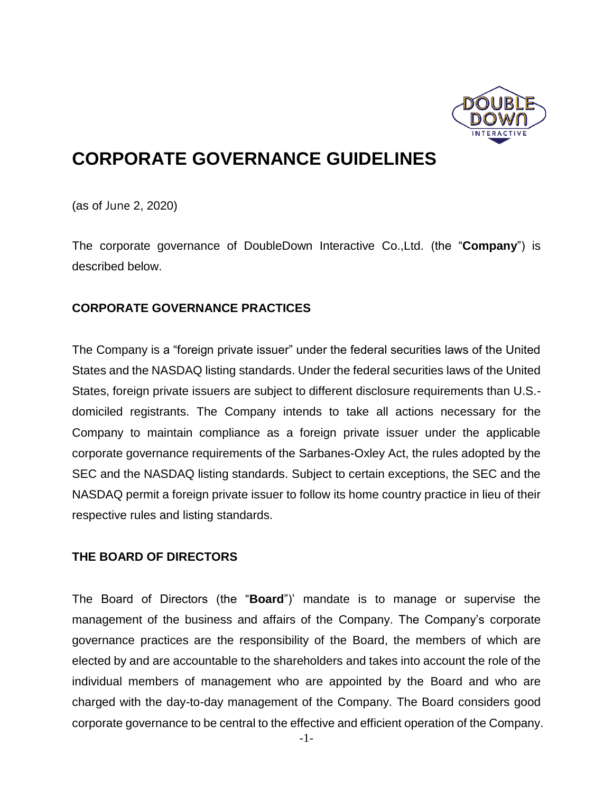

# **CORPORATE GOVERNANCE GUIDELINES**

(as of June 2, 2020)

The corporate governance of DoubleDown Interactive Co.,Ltd. (the "**Company**") is described below.

## **CORPORATE GOVERNANCE PRACTICES**

The Company is a "foreign private issuer" under the federal securities laws of the United States and the NASDAQ listing standards. Under the federal securities laws of the United States, foreign private issuers are subject to different disclosure requirements than U.S. domiciled registrants. The Company intends to take all actions necessary for the Company to maintain compliance as a foreign private issuer under the applicable corporate governance requirements of the Sarbanes-Oxley Act, the rules adopted by the SEC and the NASDAQ listing standards. Subject to certain exceptions, the SEC and the NASDAQ permit a foreign private issuer to follow its home country practice in lieu of their respective rules and listing standards.

## **THE BOARD OF DIRECTORS**

The Board of Directors (the "**Board**")' mandate is to manage or supervise the management of the business and affairs of the Company. The Company's corporate governance practices are the responsibility of the Board, the members of which are elected by and are accountable to the shareholders and takes into account the role of the individual members of management who are appointed by the Board and who are charged with the day-to-day management of the Company. The Board considers good corporate governance to be central to the effective and efficient operation of the Company.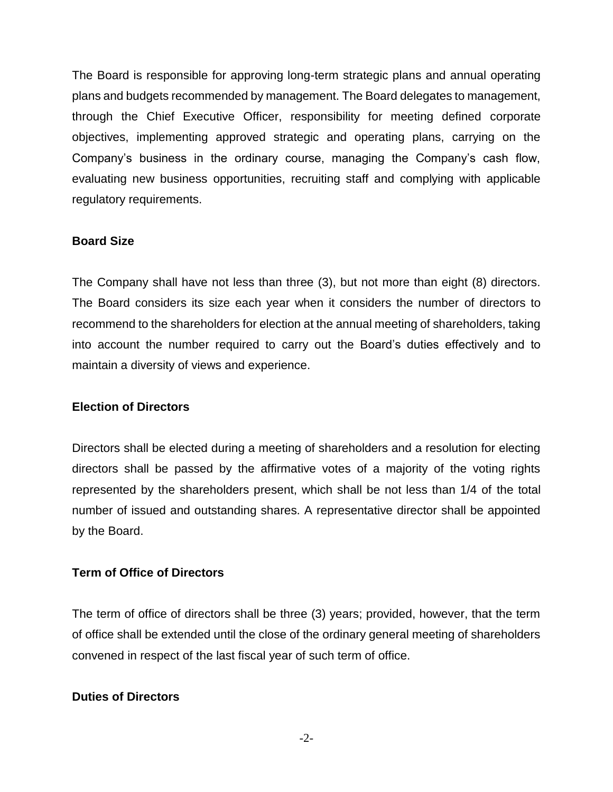The Board is responsible for approving long-term strategic plans and annual operating plans and budgets recommended by management. The Board delegates to management, through the Chief Executive Officer, responsibility for meeting defined corporate objectives, implementing approved strategic and operating plans, carrying on the Company's business in the ordinary course, managing the Company's cash flow, evaluating new business opportunities, recruiting staff and complying with applicable regulatory requirements.

#### **Board Size**

The Company shall have not less than three (3), but not more than eight (8) directors. The Board considers its size each year when it considers the number of directors to recommend to the shareholders for election at the annual meeting of shareholders, taking into account the number required to carry out the Board's duties effectively and to maintain a diversity of views and experience.

## **Election of Directors**

Directors shall be elected during a meeting of shareholders and a resolution for electing directors shall be passed by the affirmative votes of a majority of the voting rights represented by the shareholders present, which shall be not less than 1/4 of the total number of issued and outstanding shares. A representative director shall be appointed by the Board.

## **Term of Office of Directors**

The term of office of directors shall be three (3) years; provided, however, that the term of office shall be extended until the close of the ordinary general meeting of shareholders convened in respect of the last fiscal year of such term of office.

## **Duties of Directors**

-2-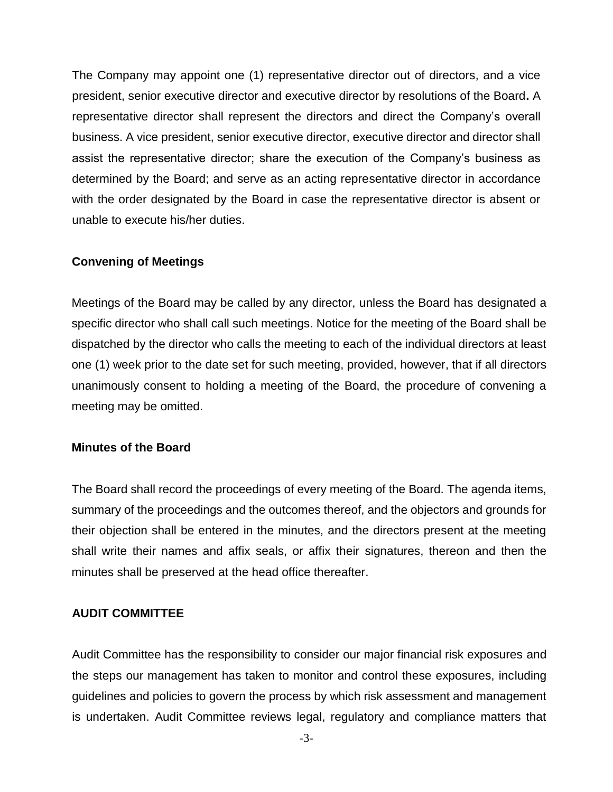The Company may appoint one (1) representative director out of directors, and a vice president, senior executive director and executive director by resolutions of the Board**.** A representative director shall represent the directors and direct the Company's overall business. A vice president, senior executive director, executive director and director shall assist the representative director; share the execution of the Company's business as determined by the Board; and serve as an acting representative director in accordance with the order designated by the Board in case the representative director is absent or unable to execute his/her duties.

#### **Convening of Meetings**

Meetings of the Board may be called by any director, unless the Board has designated a specific director who shall call such meetings. Notice for the meeting of the Board shall be dispatched by the director who calls the meeting to each of the individual directors at least one (1) week prior to the date set for such meeting, provided, however, that if all directors unanimously consent to holding a meeting of the Board, the procedure of convening a meeting may be omitted.

#### **Minutes of the Board**

The Board shall record the proceedings of every meeting of the Board. The agenda items, summary of the proceedings and the outcomes thereof, and the objectors and grounds for their objection shall be entered in the minutes, and the directors present at the meeting shall write their names and affix seals, or affix their signatures, thereon and then the minutes shall be preserved at the head office thereafter.

#### **AUDIT COMMITTEE**

Audit Committee has the responsibility to consider our major financial risk exposures and the steps our management has taken to monitor and control these exposures, including guidelines and policies to govern the process by which risk assessment and management is undertaken. Audit Committee reviews legal, regulatory and compliance matters that